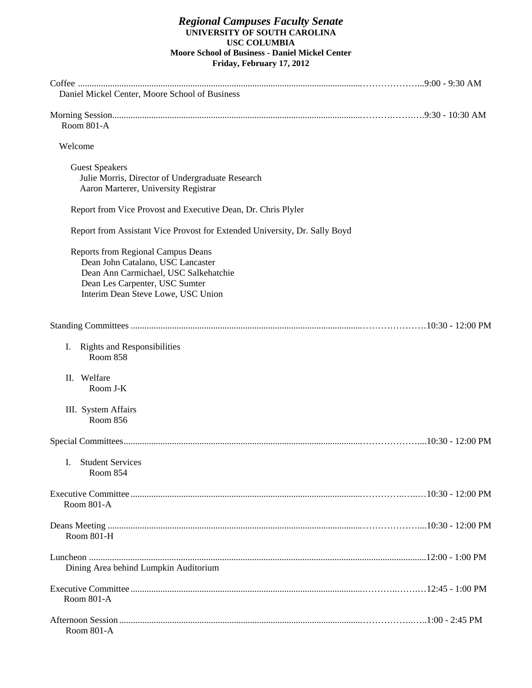#### *Regional Campuses Faculty Senate*  **UNIVERSITY OF SOUTH CAROLINA USC COLUMBIA Moore School of Business - Daniel Mickel Center Friday, February 17, 2012**

| Daniel Mickel Center, Moore School of Business                                                                                                                                                  |  |
|-------------------------------------------------------------------------------------------------------------------------------------------------------------------------------------------------|--|
| Room 801-A                                                                                                                                                                                      |  |
| Welcome                                                                                                                                                                                         |  |
| <b>Guest Speakers</b><br>Julie Morris, Director of Undergraduate Research<br>Aaron Marterer, University Registrar                                                                               |  |
| Report from Vice Provost and Executive Dean, Dr. Chris Plyler                                                                                                                                   |  |
| Report from Assistant Vice Provost for Extended University, Dr. Sally Boyd                                                                                                                      |  |
| <b>Reports from Regional Campus Deans</b><br>Dean John Catalano, USC Lancaster<br>Dean Ann Carmichael, USC Salkehatchie<br>Dean Les Carpenter, USC Sumter<br>Interim Dean Steve Lowe, USC Union |  |
|                                                                                                                                                                                                 |  |
| <b>Rights and Responsibilities</b><br>I.<br>Room 858                                                                                                                                            |  |
| Welfare<br>П.<br>Room J-K                                                                                                                                                                       |  |
| III. System Affairs<br>Room 856                                                                                                                                                                 |  |
|                                                                                                                                                                                                 |  |
| <b>Student Services</b><br>$\mathbf{I}$<br><b>Room 854</b>                                                                                                                                      |  |
| Room 801-A                                                                                                                                                                                      |  |
| Room 801-H                                                                                                                                                                                      |  |
| Dining Area behind Lumpkin Auditorium                                                                                                                                                           |  |
| Room 801-A                                                                                                                                                                                      |  |
| Room 801-A                                                                                                                                                                                      |  |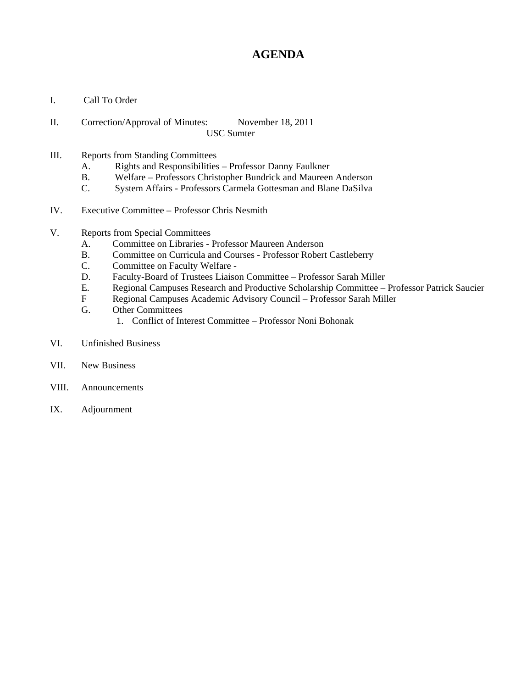# **AGENDA**

- I. Call To Order
- II. Correction/Approval of Minutes: November 18, 2011 USC Sumter
- III. Reports from Standing Committees
	- A. Rights and Responsibilities Professor Danny Faulkner
	- B. Welfare Professors Christopher Bundrick and Maureen Anderson
	- C. System Affairs Professors Carmela Gottesman and Blane DaSilva
- IV. Executive Committee Professor Chris Nesmith
- V. Reports from Special Committees
	- A. Committee on Libraries Professor Maureen Anderson
	- B. Committee on Curricula and Courses Professor Robert Castleberry
	- C. Committee on Faculty Welfare -
	- D. Faculty-Board of Trustees Liaison Committee Professor Sarah Miller
	- E. Regional Campuses Research and Productive Scholarship Committee Professor Patrick Saucier
	- F Regional Campuses Academic Advisory Council Professor Sarah Miller
	- G. Other Committees
		- 1. Conflict of Interest Committee Professor Noni Bohonak
- VI. Unfinished Business
- VII. New Business
- VIII. Announcements
- IX. Adjournment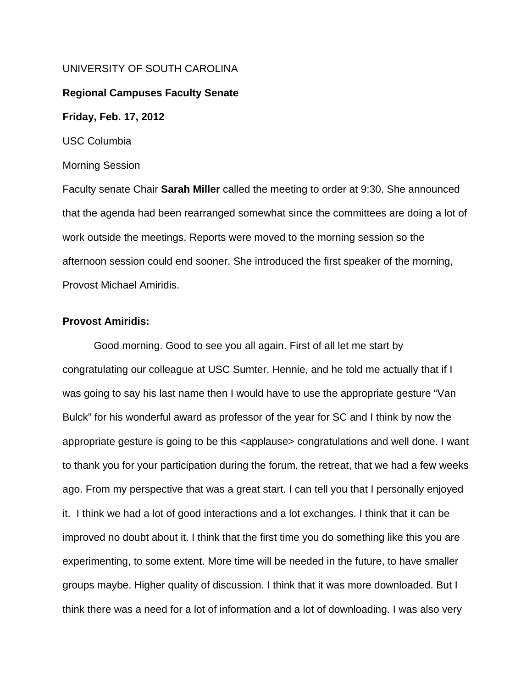## UNIVERSITY OF SOUTH CAROLINA

## **Regional Campuses Faculty Senate**

**Friday, Feb. 17, 2012** 

USC Columbia

Morning Session

Faculty senate Chair **Sarah Miller** called the meeting to order at 9:30. She announced that the agenda had been rearranged somewhat since the committees are doing a lot of work outside the meetings. Reports were moved to the morning session so the afternoon session could end sooner. She introduced the first speaker of the morning, Provost Michael Amiridis.

## **Provost Amiridis:**

 Good morning. Good to see you all again. First of all let me start by congratulating our colleague at USC Sumter, Hennie, and he told me actually that if I was going to say his last name then I would have to use the appropriate gesture "Van Bulck" for his wonderful award as professor of the year for SC and I think by now the appropriate gesture is going to be this <applause> congratulations and well done. I want to thank you for your participation during the forum, the retreat, that we had a few weeks ago. From my perspective that was a great start. I can tell you that I personally enjoyed it. I think we had a lot of good interactions and a lot exchanges. I think that it can be improved no doubt about it. I think that the first time you do something like this you are experimenting, to some extent. More time will be needed in the future, to have smaller groups maybe. Higher quality of discussion. I think that it was more downloaded. But I think there was a need for a lot of information and a lot of downloading. I was also very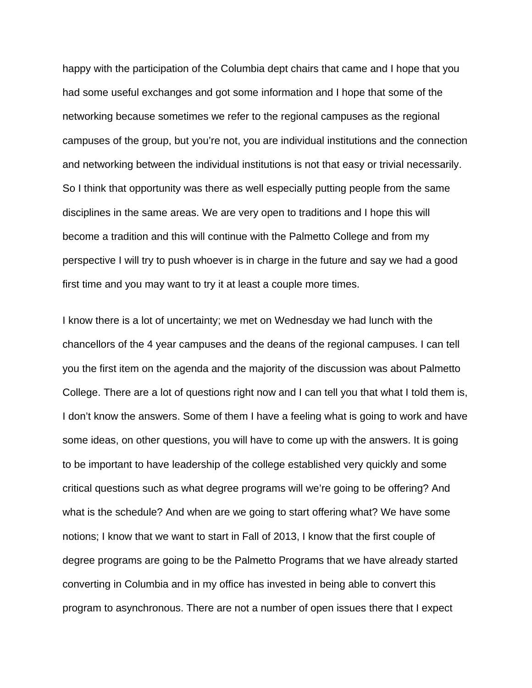happy with the participation of the Columbia dept chairs that came and I hope that you had some useful exchanges and got some information and I hope that some of the networking because sometimes we refer to the regional campuses as the regional campuses of the group, but you're not, you are individual institutions and the connection and networking between the individual institutions is not that easy or trivial necessarily. So I think that opportunity was there as well especially putting people from the same disciplines in the same areas. We are very open to traditions and I hope this will become a tradition and this will continue with the Palmetto College and from my perspective I will try to push whoever is in charge in the future and say we had a good first time and you may want to try it at least a couple more times.

I know there is a lot of uncertainty; we met on Wednesday we had lunch with the chancellors of the 4 year campuses and the deans of the regional campuses. I can tell you the first item on the agenda and the majority of the discussion was about Palmetto College. There are a lot of questions right now and I can tell you that what I told them is, I don't know the answers. Some of them I have a feeling what is going to work and have some ideas, on other questions, you will have to come up with the answers. It is going to be important to have leadership of the college established very quickly and some critical questions such as what degree programs will we're going to be offering? And what is the schedule? And when are we going to start offering what? We have some notions; I know that we want to start in Fall of 2013, I know that the first couple of degree programs are going to be the Palmetto Programs that we have already started converting in Columbia and in my office has invested in being able to convert this program to asynchronous. There are not a number of open issues there that I expect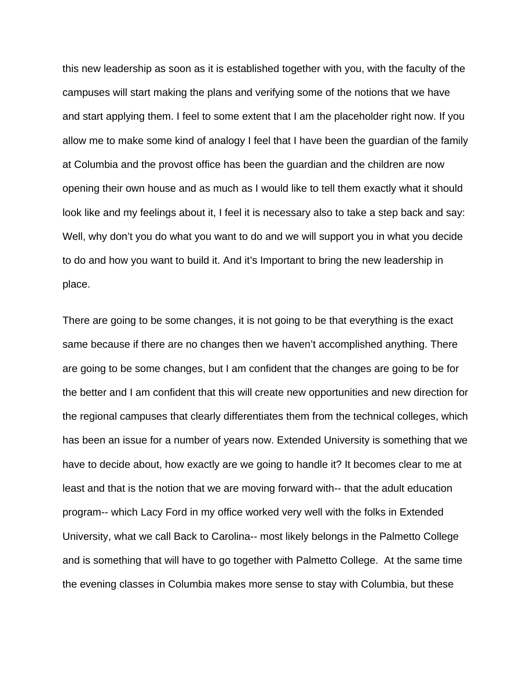this new leadership as soon as it is established together with you, with the faculty of the campuses will start making the plans and verifying some of the notions that we have and start applying them. I feel to some extent that I am the placeholder right now. If you allow me to make some kind of analogy I feel that I have been the guardian of the family at Columbia and the provost office has been the guardian and the children are now opening their own house and as much as I would like to tell them exactly what it should look like and my feelings about it, I feel it is necessary also to take a step back and say: Well, why don't you do what you want to do and we will support you in what you decide to do and how you want to build it. And it's Important to bring the new leadership in place.

There are going to be some changes, it is not going to be that everything is the exact same because if there are no changes then we haven't accomplished anything. There are going to be some changes, but I am confident that the changes are going to be for the better and I am confident that this will create new opportunities and new direction for the regional campuses that clearly differentiates them from the technical colleges, which has been an issue for a number of years now. Extended University is something that we have to decide about, how exactly are we going to handle it? It becomes clear to me at least and that is the notion that we are moving forward with-- that the adult education program-- which Lacy Ford in my office worked very well with the folks in Extended University, what we call Back to Carolina-- most likely belongs in the Palmetto College and is something that will have to go together with Palmetto College. At the same time the evening classes in Columbia makes more sense to stay with Columbia, but these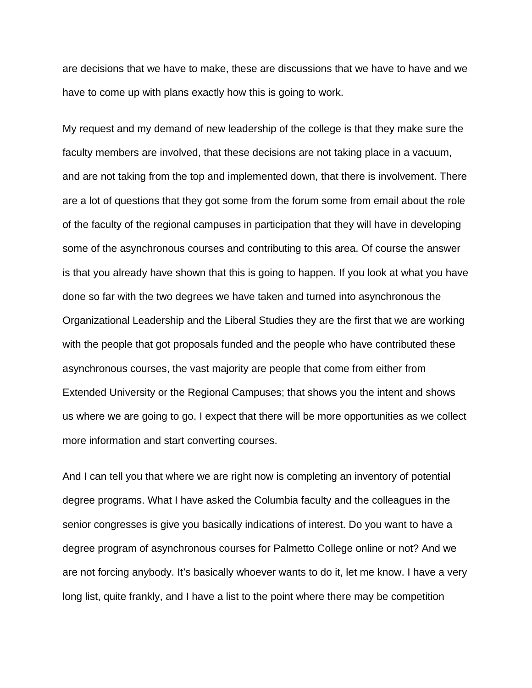are decisions that we have to make, these are discussions that we have to have and we have to come up with plans exactly how this is going to work.

My request and my demand of new leadership of the college is that they make sure the faculty members are involved, that these decisions are not taking place in a vacuum, and are not taking from the top and implemented down, that there is involvement. There are a lot of questions that they got some from the forum some from email about the role of the faculty of the regional campuses in participation that they will have in developing some of the asynchronous courses and contributing to this area. Of course the answer is that you already have shown that this is going to happen. If you look at what you have done so far with the two degrees we have taken and turned into asynchronous the Organizational Leadership and the Liberal Studies they are the first that we are working with the people that got proposals funded and the people who have contributed these asynchronous courses, the vast majority are people that come from either from Extended University or the Regional Campuses; that shows you the intent and shows us where we are going to go. I expect that there will be more opportunities as we collect more information and start converting courses.

And I can tell you that where we are right now is completing an inventory of potential degree programs. What I have asked the Columbia faculty and the colleagues in the senior congresses is give you basically indications of interest. Do you want to have a degree program of asynchronous courses for Palmetto College online or not? And we are not forcing anybody. It's basically whoever wants to do it, let me know. I have a very long list, quite frankly, and I have a list to the point where there may be competition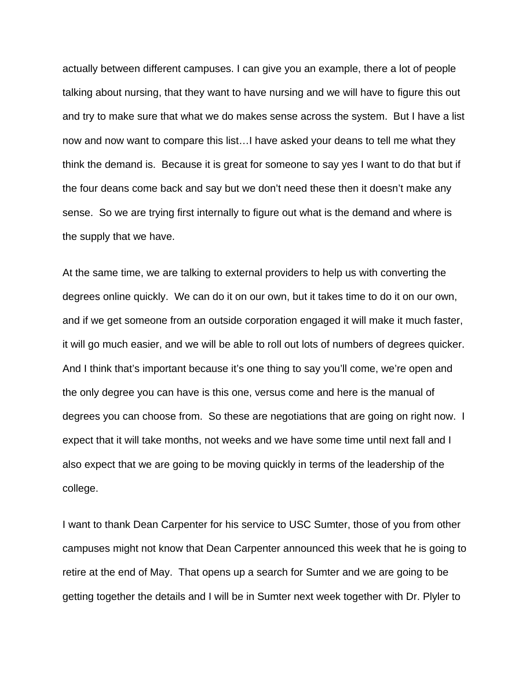actually between different campuses. I can give you an example, there a lot of people talking about nursing, that they want to have nursing and we will have to figure this out and try to make sure that what we do makes sense across the system. But I have a list now and now want to compare this list…I have asked your deans to tell me what they think the demand is. Because it is great for someone to say yes I want to do that but if the four deans come back and say but we don't need these then it doesn't make any sense. So we are trying first internally to figure out what is the demand and where is the supply that we have.

At the same time, we are talking to external providers to help us with converting the degrees online quickly. We can do it on our own, but it takes time to do it on our own, and if we get someone from an outside corporation engaged it will make it much faster, it will go much easier, and we will be able to roll out lots of numbers of degrees quicker. And I think that's important because it's one thing to say you'll come, we're open and the only degree you can have is this one, versus come and here is the manual of degrees you can choose from. So these are negotiations that are going on right now. I expect that it will take months, not weeks and we have some time until next fall and I also expect that we are going to be moving quickly in terms of the leadership of the college.

I want to thank Dean Carpenter for his service to USC Sumter, those of you from other campuses might not know that Dean Carpenter announced this week that he is going to retire at the end of May. That opens up a search for Sumter and we are going to be getting together the details and I will be in Sumter next week together with Dr. Plyler to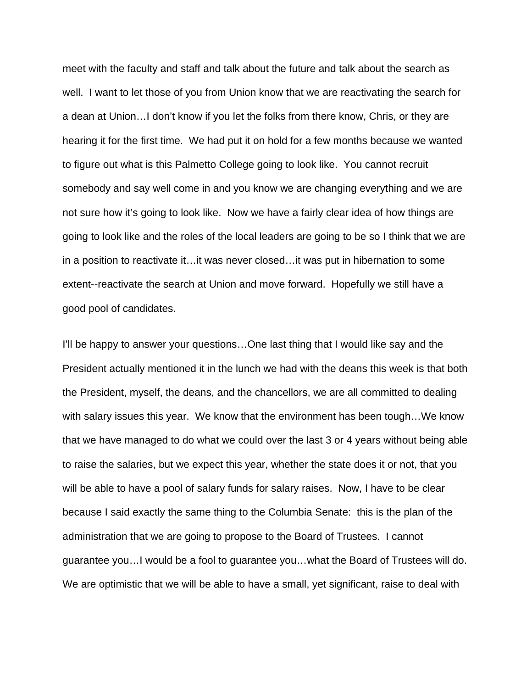meet with the faculty and staff and talk about the future and talk about the search as well. I want to let those of you from Union know that we are reactivating the search for a dean at Union…I don't know if you let the folks from there know, Chris, or they are hearing it for the first time. We had put it on hold for a few months because we wanted to figure out what is this Palmetto College going to look like. You cannot recruit somebody and say well come in and you know we are changing everything and we are not sure how it's going to look like. Now we have a fairly clear idea of how things are going to look like and the roles of the local leaders are going to be so I think that we are in a position to reactivate it…it was never closed…it was put in hibernation to some extent--reactivate the search at Union and move forward. Hopefully we still have a good pool of candidates.

I'll be happy to answer your questions...One last thing that I would like say and the President actually mentioned it in the lunch we had with the deans this week is that both the President, myself, the deans, and the chancellors, we are all committed to dealing with salary issues this year. We know that the environment has been tough…We know that we have managed to do what we could over the last 3 or 4 years without being able to raise the salaries, but we expect this year, whether the state does it or not, that you will be able to have a pool of salary funds for salary raises. Now, I have to be clear because I said exactly the same thing to the Columbia Senate: this is the plan of the administration that we are going to propose to the Board of Trustees. I cannot guarantee you…I would be a fool to guarantee you…what the Board of Trustees will do. We are optimistic that we will be able to have a small, yet significant, raise to deal with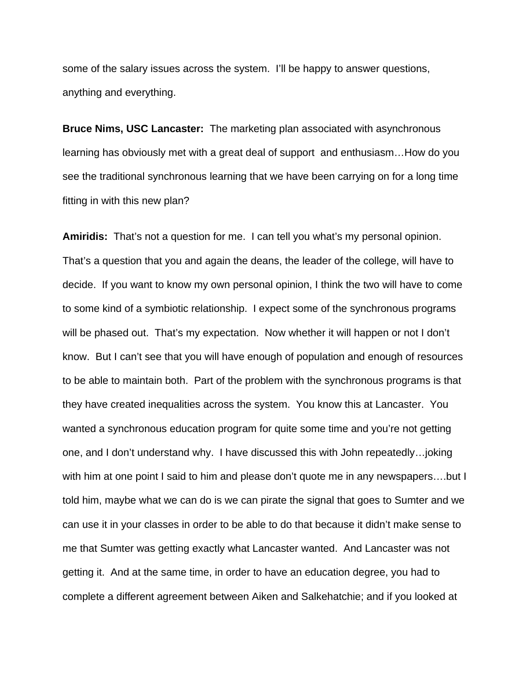some of the salary issues across the system. I'll be happy to answer questions, anything and everything.

**Bruce Nims, USC Lancaster:** The marketing plan associated with asynchronous learning has obviously met with a great deal of support and enthusiasm…How do you see the traditional synchronous learning that we have been carrying on for a long time fitting in with this new plan?

**Amiridis:** That's not a question for me. I can tell you what's my personal opinion. That's a question that you and again the deans, the leader of the college, will have to decide. If you want to know my own personal opinion, I think the two will have to come to some kind of a symbiotic relationship. I expect some of the synchronous programs will be phased out. That's my expectation. Now whether it will happen or not I don't know. But I can't see that you will have enough of population and enough of resources to be able to maintain both. Part of the problem with the synchronous programs is that they have created inequalities across the system. You know this at Lancaster. You wanted a synchronous education program for quite some time and you're not getting one, and I don't understand why. I have discussed this with John repeatedly…joking with him at one point I said to him and please don't quote me in any newspapers....but I told him, maybe what we can do is we can pirate the signal that goes to Sumter and we can use it in your classes in order to be able to do that because it didn't make sense to me that Sumter was getting exactly what Lancaster wanted. And Lancaster was not getting it. And at the same time, in order to have an education degree, you had to complete a different agreement between Aiken and Salkehatchie; and if you looked at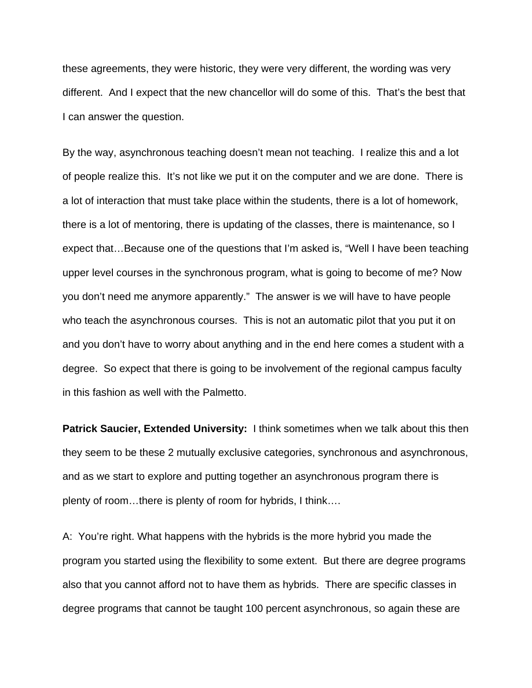these agreements, they were historic, they were very different, the wording was very different. And I expect that the new chancellor will do some of this. That's the best that I can answer the question.

By the way, asynchronous teaching doesn't mean not teaching. I realize this and a lot of people realize this. It's not like we put it on the computer and we are done. There is a lot of interaction that must take place within the students, there is a lot of homework, there is a lot of mentoring, there is updating of the classes, there is maintenance, so I expect that…Because one of the questions that I'm asked is, "Well I have been teaching upper level courses in the synchronous program, what is going to become of me? Now you don't need me anymore apparently." The answer is we will have to have people who teach the asynchronous courses. This is not an automatic pilot that you put it on and you don't have to worry about anything and in the end here comes a student with a degree. So expect that there is going to be involvement of the regional campus faculty in this fashion as well with the Palmetto.

**Patrick Saucier, Extended University:** I think sometimes when we talk about this then they seem to be these 2 mutually exclusive categories, synchronous and asynchronous, and as we start to explore and putting together an asynchronous program there is plenty of room…there is plenty of room for hybrids, I think….

A: You're right. What happens with the hybrids is the more hybrid you made the program you started using the flexibility to some extent. But there are degree programs also that you cannot afford not to have them as hybrids. There are specific classes in degree programs that cannot be taught 100 percent asynchronous, so again these are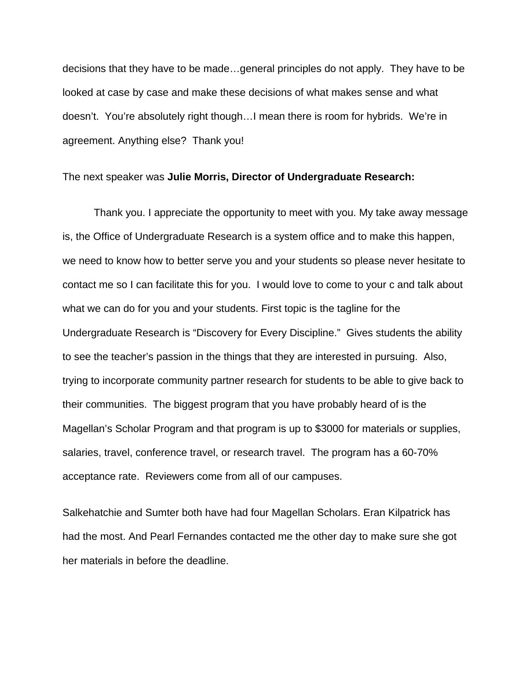decisions that they have to be made…general principles do not apply. They have to be looked at case by case and make these decisions of what makes sense and what doesn't. You're absolutely right though…I mean there is room for hybrids. We're in agreement. Anything else? Thank you!

## The next speaker was **Julie Morris, Director of Undergraduate Research:**

 Thank you. I appreciate the opportunity to meet with you. My take away message is, the Office of Undergraduate Research is a system office and to make this happen, we need to know how to better serve you and your students so please never hesitate to contact me so I can facilitate this for you. I would love to come to your c and talk about what we can do for you and your students. First topic is the tagline for the Undergraduate Research is "Discovery for Every Discipline." Gives students the ability to see the teacher's passion in the things that they are interested in pursuing. Also, trying to incorporate community partner research for students to be able to give back to their communities. The biggest program that you have probably heard of is the Magellan's Scholar Program and that program is up to \$3000 for materials or supplies, salaries, travel, conference travel, or research travel. The program has a 60-70% acceptance rate. Reviewers come from all of our campuses.

Salkehatchie and Sumter both have had four Magellan Scholars. Eran Kilpatrick has had the most. And Pearl Fernandes contacted me the other day to make sure she got her materials in before the deadline.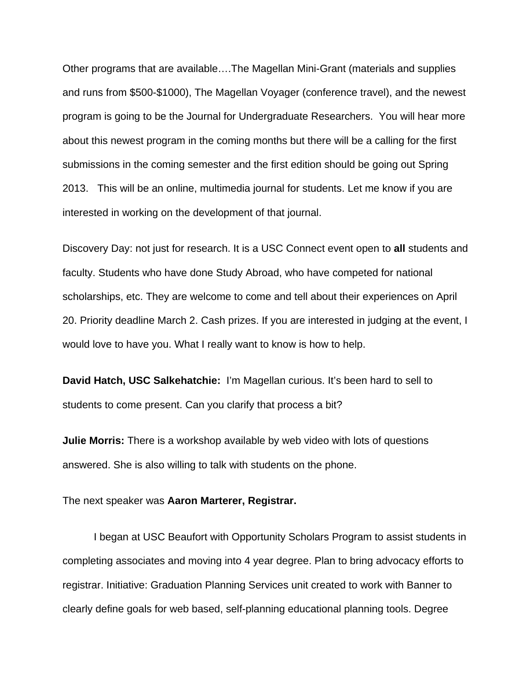Other programs that are available….The Magellan Mini-Grant (materials and supplies and runs from \$500-\$1000), The Magellan Voyager (conference travel), and the newest program is going to be the Journal for Undergraduate Researchers. You will hear more about this newest program in the coming months but there will be a calling for the first submissions in the coming semester and the first edition should be going out Spring 2013. This will be an online, multimedia journal for students. Let me know if you are interested in working on the development of that journal.

Discovery Day: not just for research. It is a USC Connect event open to **all** students and faculty. Students who have done Study Abroad, who have competed for national scholarships, etc. They are welcome to come and tell about their experiences on April 20. Priority deadline March 2. Cash prizes. If you are interested in judging at the event, I would love to have you. What I really want to know is how to help.

**David Hatch, USC Salkehatchie:** I'm Magellan curious. It's been hard to sell to students to come present. Can you clarify that process a bit?

**Julie Morris:** There is a workshop available by web video with lots of questions answered. She is also willing to talk with students on the phone.

The next speaker was **Aaron Marterer, Registrar.** 

 I began at USC Beaufort with Opportunity Scholars Program to assist students in completing associates and moving into 4 year degree. Plan to bring advocacy efforts to registrar. Initiative: Graduation Planning Services unit created to work with Banner to clearly define goals for web based, self-planning educational planning tools. Degree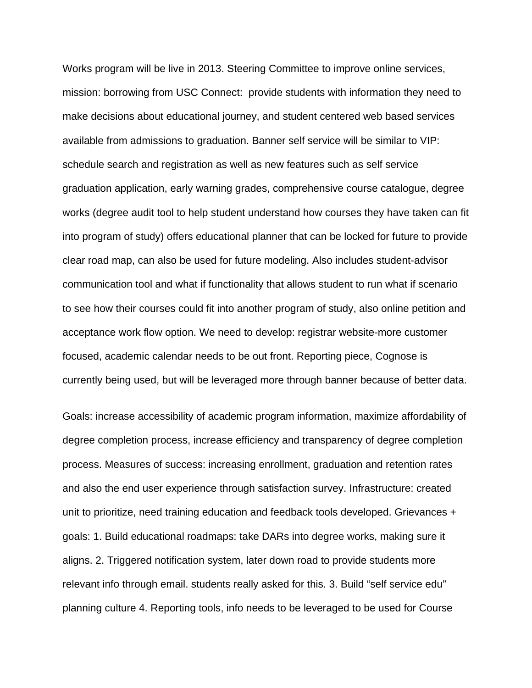Works program will be live in 2013. Steering Committee to improve online services, mission: borrowing from USC Connect: provide students with information they need to make decisions about educational journey, and student centered web based services available from admissions to graduation. Banner self service will be similar to VIP: schedule search and registration as well as new features such as self service graduation application, early warning grades, comprehensive course catalogue, degree works (degree audit tool to help student understand how courses they have taken can fit into program of study) offers educational planner that can be locked for future to provide clear road map, can also be used for future modeling. Also includes student-advisor communication tool and what if functionality that allows student to run what if scenario to see how their courses could fit into another program of study, also online petition and acceptance work flow option. We need to develop: registrar website-more customer focused, academic calendar needs to be out front. Reporting piece, Cognose is currently being used, but will be leveraged more through banner because of better data.

Goals: increase accessibility of academic program information, maximize affordability of degree completion process, increase efficiency and transparency of degree completion process. Measures of success: increasing enrollment, graduation and retention rates and also the end user experience through satisfaction survey. Infrastructure: created unit to prioritize, need training education and feedback tools developed. Grievances + goals: 1. Build educational roadmaps: take DARs into degree works, making sure it aligns. 2. Triggered notification system, later down road to provide students more relevant info through email. students really asked for this. 3. Build "self service edu" planning culture 4. Reporting tools, info needs to be leveraged to be used for Course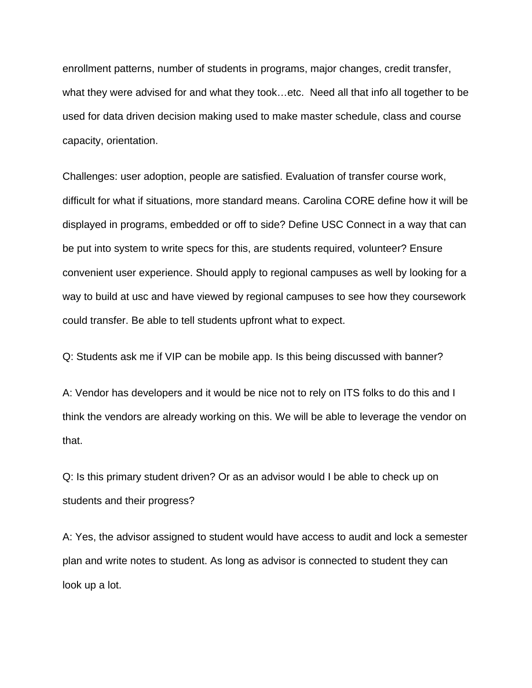enrollment patterns, number of students in programs, major changes, credit transfer, what they were advised for and what they took…etc. Need all that info all together to be used for data driven decision making used to make master schedule, class and course capacity, orientation.

Challenges: user adoption, people are satisfied. Evaluation of transfer course work, difficult for what if situations, more standard means. Carolina CORE define how it will be displayed in programs, embedded or off to side? Define USC Connect in a way that can be put into system to write specs for this, are students required, volunteer? Ensure convenient user experience. Should apply to regional campuses as well by looking for a way to build at usc and have viewed by regional campuses to see how they coursework could transfer. Be able to tell students upfront what to expect.

Q: Students ask me if VIP can be mobile app. Is this being discussed with banner?

A: Vendor has developers and it would be nice not to rely on ITS folks to do this and I think the vendors are already working on this. We will be able to leverage the vendor on that.

Q: Is this primary student driven? Or as an advisor would I be able to check up on students and their progress?

A: Yes, the advisor assigned to student would have access to audit and lock a semester plan and write notes to student. As long as advisor is connected to student they can look up a lot.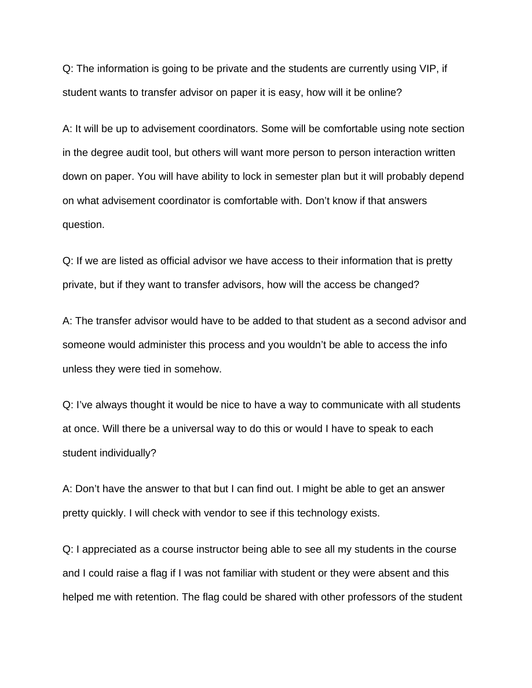Q: The information is going to be private and the students are currently using VIP, if student wants to transfer advisor on paper it is easy, how will it be online?

A: It will be up to advisement coordinators. Some will be comfortable using note section in the degree audit tool, but others will want more person to person interaction written down on paper. You will have ability to lock in semester plan but it will probably depend on what advisement coordinator is comfortable with. Don't know if that answers question.

Q: If we are listed as official advisor we have access to their information that is pretty private, but if they want to transfer advisors, how will the access be changed?

A: The transfer advisor would have to be added to that student as a second advisor and someone would administer this process and you wouldn't be able to access the info unless they were tied in somehow.

Q: I've always thought it would be nice to have a way to communicate with all students at once. Will there be a universal way to do this or would I have to speak to each student individually?

A: Don't have the answer to that but I can find out. I might be able to get an answer pretty quickly. I will check with vendor to see if this technology exists.

Q: I appreciated as a course instructor being able to see all my students in the course and I could raise a flag if I was not familiar with student or they were absent and this helped me with retention. The flag could be shared with other professors of the student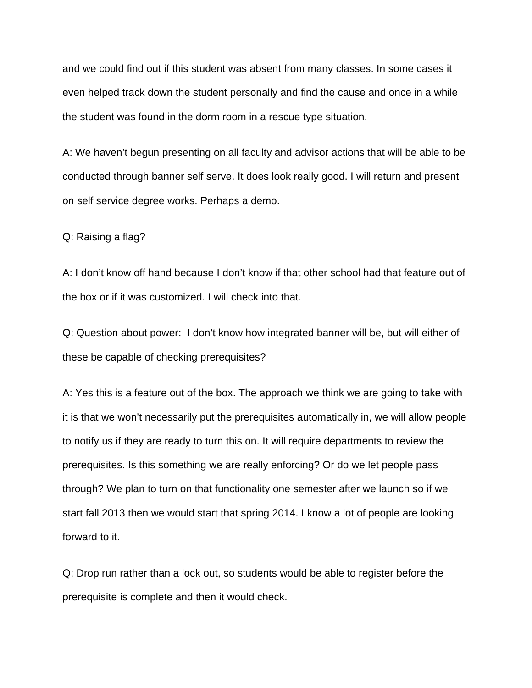and we could find out if this student was absent from many classes. In some cases it even helped track down the student personally and find the cause and once in a while the student was found in the dorm room in a rescue type situation.

A: We haven't begun presenting on all faculty and advisor actions that will be able to be conducted through banner self serve. It does look really good. I will return and present on self service degree works. Perhaps a demo.

Q: Raising a flag?

A: I don't know off hand because I don't know if that other school had that feature out of the box or if it was customized. I will check into that.

Q: Question about power: I don't know how integrated banner will be, but will either of these be capable of checking prerequisites?

A: Yes this is a feature out of the box. The approach we think we are going to take with it is that we won't necessarily put the prerequisites automatically in, we will allow people to notify us if they are ready to turn this on. It will require departments to review the prerequisites. Is this something we are really enforcing? Or do we let people pass through? We plan to turn on that functionality one semester after we launch so if we start fall 2013 then we would start that spring 2014. I know a lot of people are looking forward to it.

Q: Drop run rather than a lock out, so students would be able to register before the prerequisite is complete and then it would check.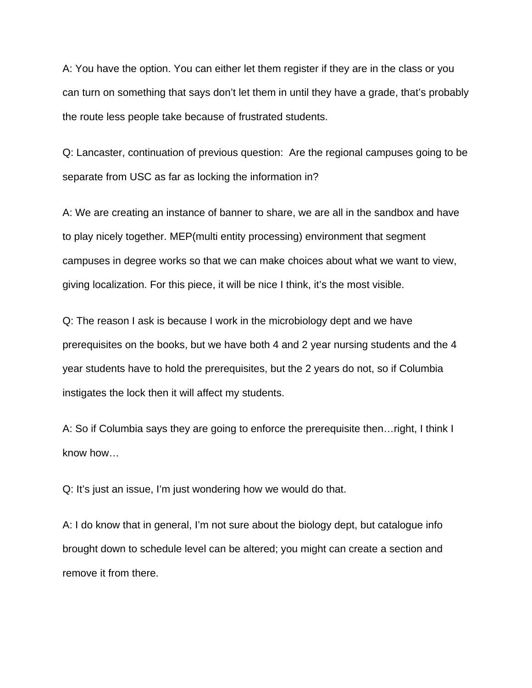A: You have the option. You can either let them register if they are in the class or you can turn on something that says don't let them in until they have a grade, that's probably the route less people take because of frustrated students.

Q: Lancaster, continuation of previous question: Are the regional campuses going to be separate from USC as far as locking the information in?

A: We are creating an instance of banner to share, we are all in the sandbox and have to play nicely together. MEP(multi entity processing) environment that segment campuses in degree works so that we can make choices about what we want to view, giving localization. For this piece, it will be nice I think, it's the most visible.

Q: The reason I ask is because I work in the microbiology dept and we have prerequisites on the books, but we have both 4 and 2 year nursing students and the 4 year students have to hold the prerequisites, but the 2 years do not, so if Columbia instigates the lock then it will affect my students.

A: So if Columbia says they are going to enforce the prerequisite then…right, I think I know how…

Q: It's just an issue, I'm just wondering how we would do that.

A: I do know that in general, I'm not sure about the biology dept, but catalogue info brought down to schedule level can be altered; you might can create a section and remove it from there.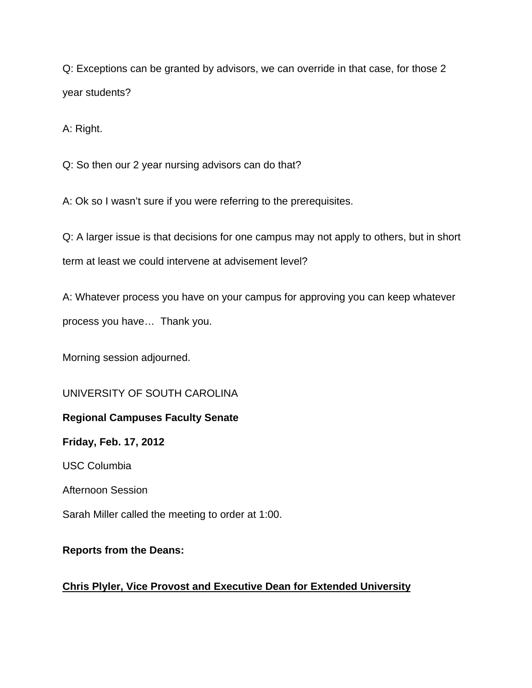Q: Exceptions can be granted by advisors, we can override in that case, for those 2 year students?

A: Right.

Q: So then our 2 year nursing advisors can do that?

A: Ok so I wasn't sure if you were referring to the prerequisites.

Q: A larger issue is that decisions for one campus may not apply to others, but in short term at least we could intervene at advisement level?

A: Whatever process you have on your campus for approving you can keep whatever process you have… Thank you.

Morning session adjourned.

UNIVERSITY OF SOUTH CAROLINA

# **Regional Campuses Faculty Senate**

**Friday, Feb. 17, 2012** 

USC Columbia

Afternoon Session

Sarah Miller called the meeting to order at 1:00.

# **Reports from the Deans:**

# **Chris Plyler, Vice Provost and Executive Dean for Extended University**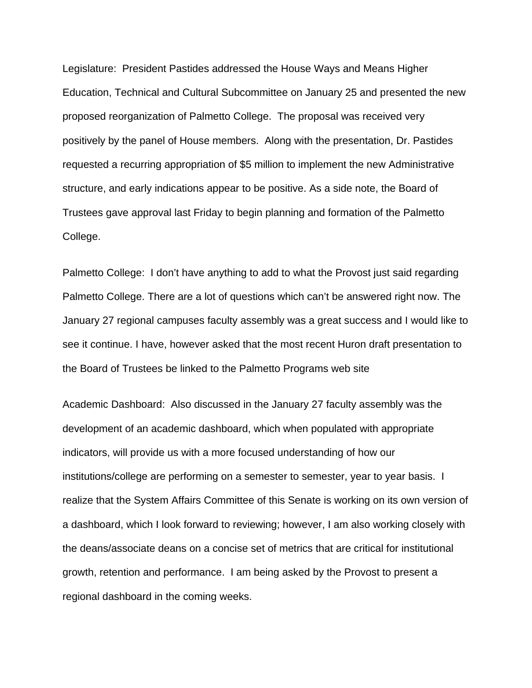Legislature: President Pastides addressed the House Ways and Means Higher Education, Technical and Cultural Subcommittee on January 25 and presented the new proposed reorganization of Palmetto College. The proposal was received very positively by the panel of House members. Along with the presentation, Dr. Pastides requested a recurring appropriation of \$5 million to implement the new Administrative structure, and early indications appear to be positive. As a side note, the Board of Trustees gave approval last Friday to begin planning and formation of the Palmetto College.

Palmetto College:I don't have anything to add to what the Provost just said regarding Palmetto College. There are a lot of questions which can't be answered right now. The January 27 regional campuses faculty assembly was a great success and I would like to see it continue. I have, however asked that the most recent Huron draft presentation to the Board of Trustees be linked to the Palmetto Programs web site

Academic Dashboard:Also discussed in the January 27 faculty assembly was the development of an academic dashboard, which when populated with appropriate indicators, will provide us with a more focused understanding of how our institutions/college are performing on a semester to semester, year to year basis. I realize that the System Affairs Committee of this Senate is working on its own version of a dashboard, which I look forward to reviewing; however, I am also working closely with the deans/associate deans on a concise set of metrics that are critical for institutional growth, retention and performance. I am being asked by the Provost to present a regional dashboard in the coming weeks.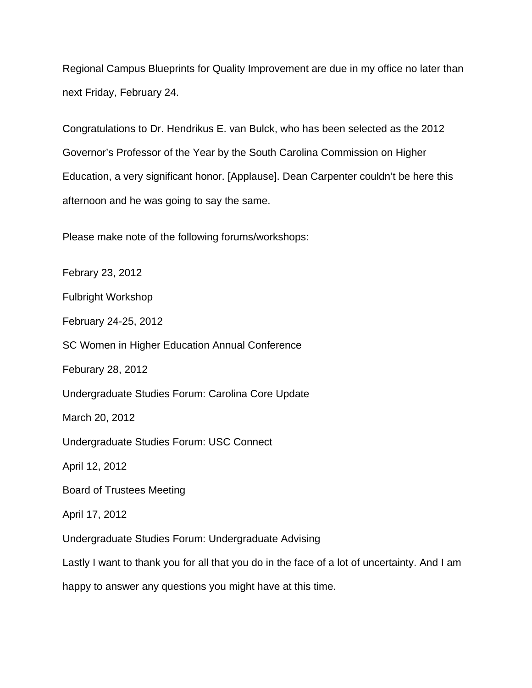Regional Campus Blueprints for Quality Improvement are due in my office no later than next Friday, February 24.

Congratulations to Dr. Hendrikus E. van Bulck, who has been selected as the 2012 Governor's Professor of the Year by the South Carolina Commission on Higher Education, a very significant honor. [Applause]. Dean Carpenter couldn't be here this afternoon and he was going to say the same.

Please make note of the following forums/workshops:

Febrary 23, 2012

Fulbright Workshop

February 24-25, 2012

SC Women in Higher Education Annual Conference

Feburary 28, 2012

Undergraduate Studies Forum: Carolina Core Update

March 20, 2012

Undergraduate Studies Forum: USC Connect

April 12, 2012

Board of Trustees Meeting

April 17, 2012

Undergraduate Studies Forum: Undergraduate Advising

Lastly I want to thank you for all that you do in the face of a lot of uncertainty. And I am

happy to answer any questions you might have at this time.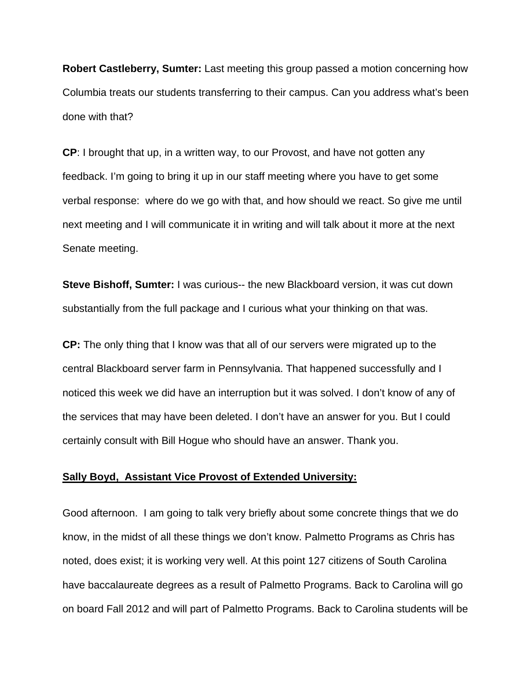**Robert Castleberry, Sumter:** Last meeting this group passed a motion concerning how Columbia treats our students transferring to their campus. Can you address what's been done with that?

**CP**: I brought that up, in a written way, to our Provost, and have not gotten any feedback. I'm going to bring it up in our staff meeting where you have to get some verbal response: where do we go with that, and how should we react. So give me until next meeting and I will communicate it in writing and will talk about it more at the next Senate meeting.

**Steve Bishoff, Sumter:** I was curious-- the new Blackboard version, it was cut down substantially from the full package and I curious what your thinking on that was.

**CP:** The only thing that I know was that all of our servers were migrated up to the central Blackboard server farm in Pennsylvania. That happened successfully and I noticed this week we did have an interruption but it was solved. I don't know of any of the services that may have been deleted. I don't have an answer for you. But I could certainly consult with Bill Hogue who should have an answer. Thank you.

#### **Sally Boyd, Assistant Vice Provost of Extended University:**

Good afternoon. I am going to talk very briefly about some concrete things that we do know, in the midst of all these things we don't know. Palmetto Programs as Chris has noted, does exist; it is working very well. At this point 127 citizens of South Carolina have baccalaureate degrees as a result of Palmetto Programs. Back to Carolina will go on board Fall 2012 and will part of Palmetto Programs. Back to Carolina students will be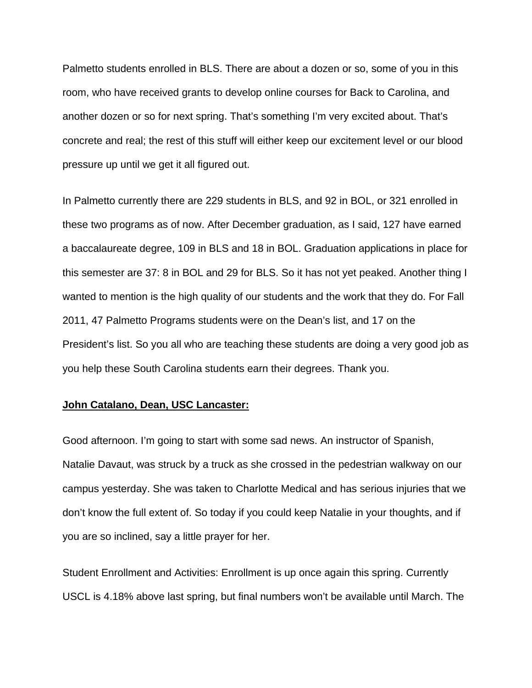Palmetto students enrolled in BLS. There are about a dozen or so, some of you in this room, who have received grants to develop online courses for Back to Carolina, and another dozen or so for next spring. That's something I'm very excited about. That's concrete and real; the rest of this stuff will either keep our excitement level or our blood pressure up until we get it all figured out.

In Palmetto currently there are 229 students in BLS, and 92 in BOL, or 321 enrolled in these two programs as of now. After December graduation, as I said, 127 have earned a baccalaureate degree, 109 in BLS and 18 in BOL. Graduation applications in place for this semester are 37: 8 in BOL and 29 for BLS. So it has not yet peaked. Another thing I wanted to mention is the high quality of our students and the work that they do. For Fall 2011, 47 Palmetto Programs students were on the Dean's list, and 17 on the President's list. So you all who are teaching these students are doing a very good job as you help these South Carolina students earn their degrees. Thank you.

#### **John Catalano, Dean, USC Lancaster:**

Good afternoon. I'm going to start with some sad news. An instructor of Spanish, Natalie Davaut, was struck by a truck as she crossed in the pedestrian walkway on our campus yesterday. She was taken to Charlotte Medical and has serious injuries that we don't know the full extent of. So today if you could keep Natalie in your thoughts, and if you are so inclined, say a little prayer for her.

Student Enrollment and Activities: Enrollment is up once again this spring. Currently USCL is 4.18% above last spring, but final numbers won't be available until March. The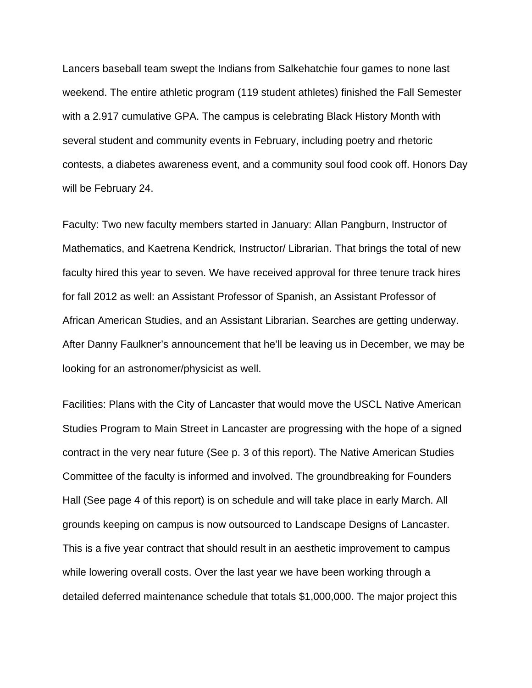Lancers baseball team swept the Indians from Salkehatchie four games to none last weekend. The entire athletic program (119 student athletes) finished the Fall Semester with a 2.917 cumulative GPA. The campus is celebrating Black History Month with several student and community events in February, including poetry and rhetoric contests, a diabetes awareness event, and a community soul food cook off. Honors Day will be February 24.

Faculty: Two new faculty members started in January: Allan Pangburn, Instructor of Mathematics, and Kaetrena Kendrick, Instructor/ Librarian. That brings the total of new faculty hired this year to seven. We have received approval for three tenure track hires for fall 2012 as well: an Assistant Professor of Spanish, an Assistant Professor of African American Studies, and an Assistant Librarian. Searches are getting underway. After Danny Faulkner's announcement that he'll be leaving us in December, we may be looking for an astronomer/physicist as well.

Facilities: Plans with the City of Lancaster that would move the USCL Native American Studies Program to Main Street in Lancaster are progressing with the hope of a signed contract in the very near future (See p. 3 of this report). The Native American Studies Committee of the faculty is informed and involved. The groundbreaking for Founders Hall (See page 4 of this report) is on schedule and will take place in early March. All grounds keeping on campus is now outsourced to Landscape Designs of Lancaster. This is a five year contract that should result in an aesthetic improvement to campus while lowering overall costs. Over the last year we have been working through a detailed deferred maintenance schedule that totals \$1,000,000. The major project this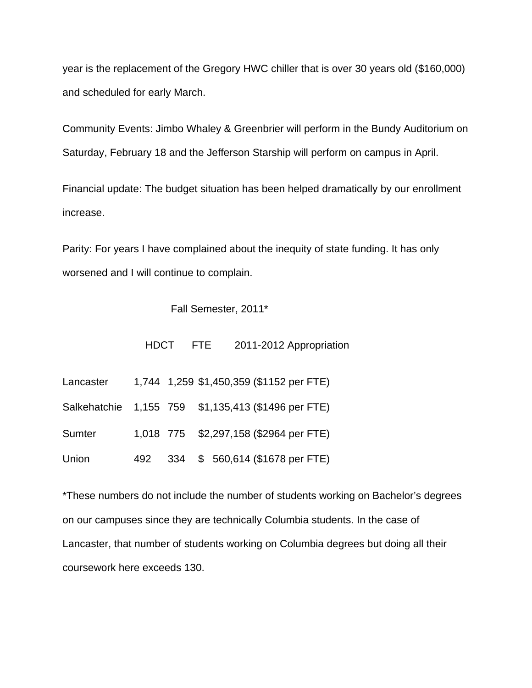year is the replacement of the Gregory HWC chiller that is over 30 years old (\$160,000) and scheduled for early March.

Community Events: Jimbo Whaley & Greenbrier will perform in the Bundy Auditorium on Saturday, February 18 and the Jefferson Starship will perform on campus in April.

Financial update: The budget situation has been helped dramatically by our enrollment increase.

Parity: For years I have complained about the inequity of state funding. It has only worsened and I will continue to complain.

#### Fall Semester, 2011\*

HDCT FTE 2011-2012 Appropriation

| Lancaster |  | 1,744 1,259 \$1,450,359 (\$1152 per FTE)            |
|-----------|--|-----------------------------------------------------|
|           |  | Salkehatchie 1,155 759 \$1,135,413 (\$1496 per FTE) |
| Sumter    |  | 1,018 775 \$2,297,158 (\$2964 per FTE)              |
| Union     |  | 492 334 \$ 560,614 (\$1678 per FTE)                 |

\*These numbers do not include the number of students working on Bachelor's degrees on our campuses since they are technically Columbia students. In the case of Lancaster, that number of students working on Columbia degrees but doing all their coursework here exceeds 130.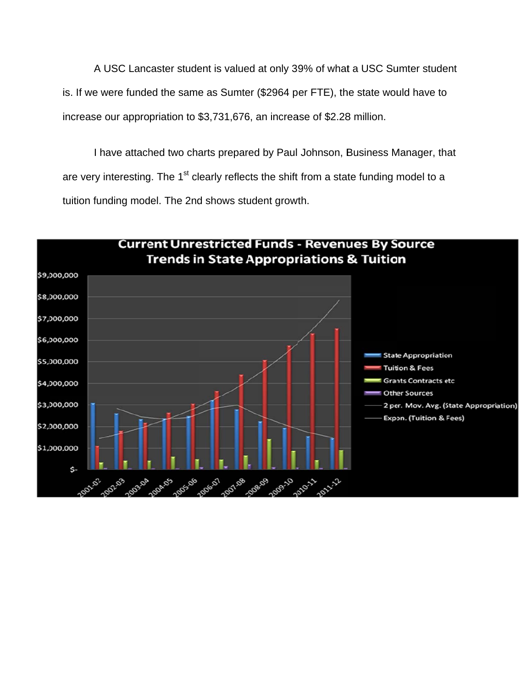A USC Lancaster student is valued at only 39% of what a USC Sumter student is. If we were funded the same as Sumter (\$2964 per FTE), the state would have to increase our appropriation to \$3,731,676, an increase of \$2.28 million.

I have attached two charts prepared by Paul Johnson, Business Manager, that are very interesting. The 1<sup>st</sup> clearly reflects the shift from a state funding model to a tuition funding model. The 2nd shows student growth.

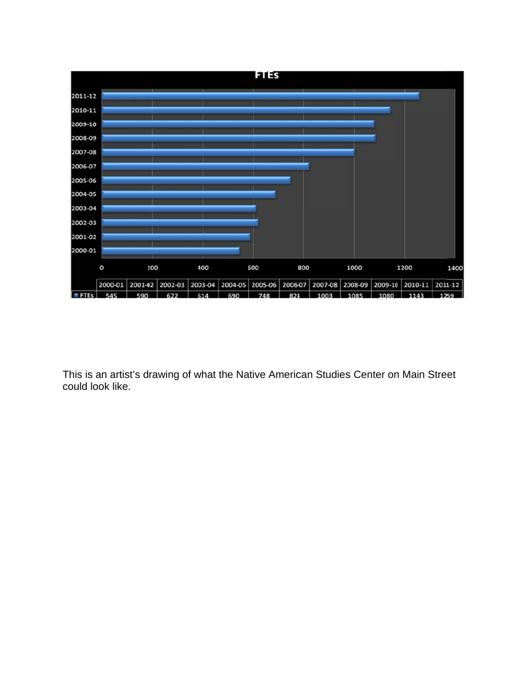

This is a n artist's d rawing of what the Native American Studies Center on Main Street could loo k like.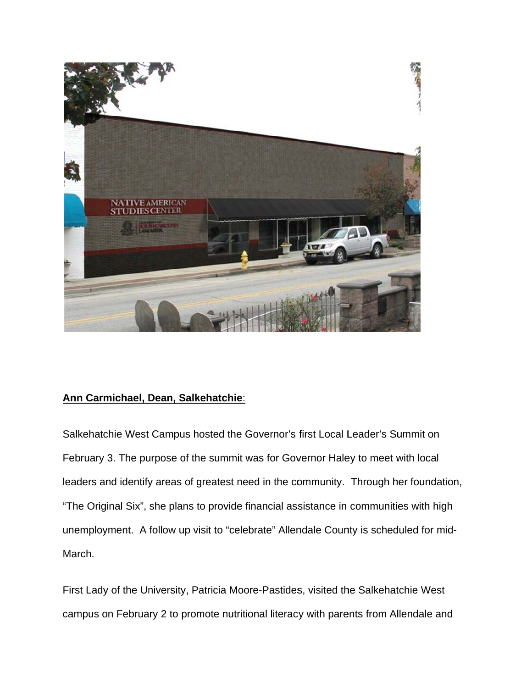

# **Ann Ca rmichael, D Dean, Salk kehatchie**:

Salkehatchie West Campus hosted the Governor's first Local Leader's Summit on February 3. The purpose of the summit was for Governor Haley to meet with local leaders and identify areas of greatest need in the community. Through her foundation, "The Original Six", she plans to provide financial assistance in communities with high unemployment. A follow up visit to "celebrate" Allendale County is scheduled for mid-March.

First Lady of the University, Patricia Moore-Pastides, visited the Salkehatchie West campus on February 2 to promote nutritional literacy with parents from Allendale and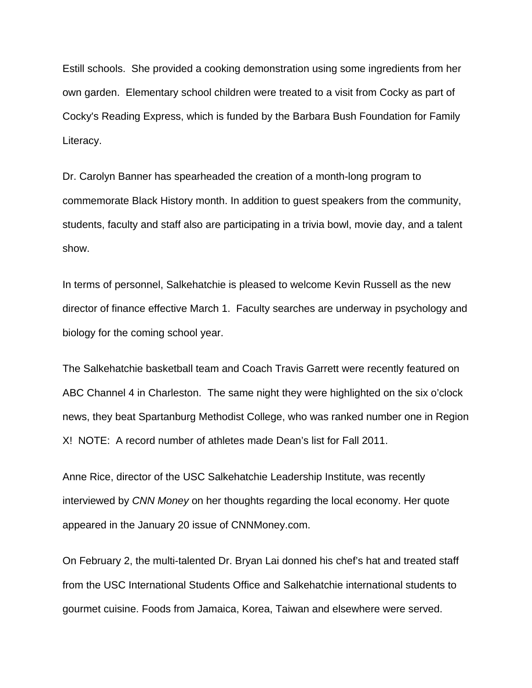Estill schools. She provided a cooking demonstration using some ingredients from her own garden. Elementary school children were treated to a visit from Cocky as part of Cocky's Reading Express, which is funded by the Barbara Bush Foundation for Family Literacy.

Dr. Carolyn Banner has spearheaded the creation of a month-long program to commemorate Black History month. In addition to guest speakers from the community, students, faculty and staff also are participating in a trivia bowl, movie day, and a talent show.

In terms of personnel, Salkehatchie is pleased to welcome Kevin Russell as the new director of finance effective March 1. Faculty searches are underway in psychology and biology for the coming school year.

The Salkehatchie basketball team and Coach Travis Garrett were recently featured on ABC Channel 4 in Charleston. The same night they were highlighted on the six o'clock news, they beat Spartanburg Methodist College, who was ranked number one in Region X! NOTE: A record number of athletes made Dean's list for Fall 2011.

Anne Rice, director of the USC Salkehatchie Leadership Institute, was recently interviewed by *CNN Money* on her thoughts regarding the local economy. Her quote appeared in the January 20 issue of CNNMoney.com.

On February 2, the multi-talented Dr. Bryan Lai donned his chef's hat and treated staff from the USC International Students Office and Salkehatchie international students to gourmet cuisine. Foods from Jamaica, Korea, Taiwan and elsewhere were served.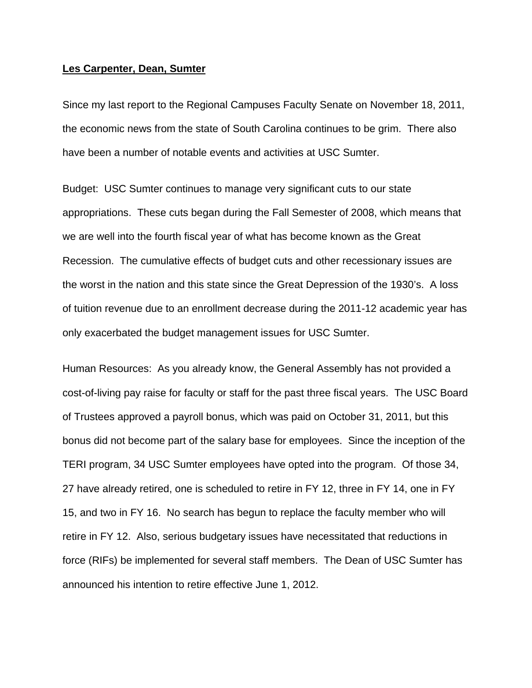#### **Les Carpenter, Dean, Sumter**

Since my last report to the Regional Campuses Faculty Senate on November 18, 2011, the economic news from the state of South Carolina continues to be grim. There also have been a number of notable events and activities at USC Sumter.

Budget: USC Sumter continues to manage very significant cuts to our state appropriations. These cuts began during the Fall Semester of 2008, which means that we are well into the fourth fiscal year of what has become known as the Great Recession. The cumulative effects of budget cuts and other recessionary issues are the worst in the nation and this state since the Great Depression of the 1930's. A loss of tuition revenue due to an enrollment decrease during the 2011-12 academic year has only exacerbated the budget management issues for USC Sumter.

Human Resources: As you already know, the General Assembly has not provided a cost-of-living pay raise for faculty or staff for the past three fiscal years. The USC Board of Trustees approved a payroll bonus, which was paid on October 31, 2011, but this bonus did not become part of the salary base for employees. Since the inception of the TERI program, 34 USC Sumter employees have opted into the program. Of those 34, 27 have already retired, one is scheduled to retire in FY 12, three in FY 14, one in FY 15, and two in FY 16. No search has begun to replace the faculty member who will retire in FY 12. Also, serious budgetary issues have necessitated that reductions in force (RIFs) be implemented for several staff members. The Dean of USC Sumter has announced his intention to retire effective June 1, 2012.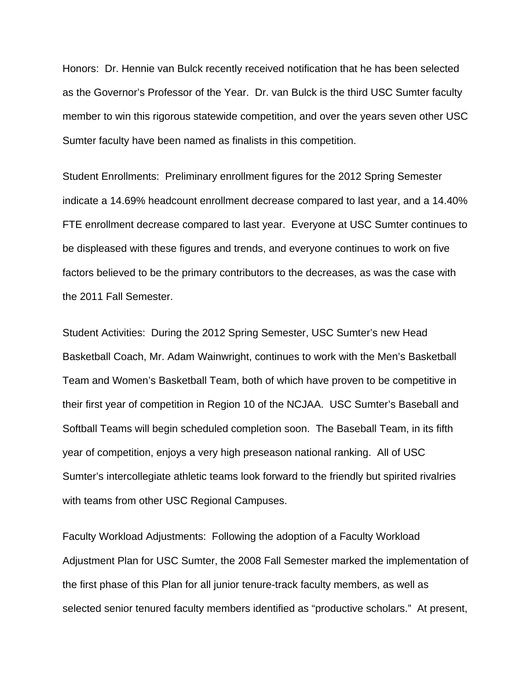Honors: Dr. Hennie van Bulck recently received notification that he has been selected as the Governor's Professor of the Year. Dr. van Bulck is the third USC Sumter faculty member to win this rigorous statewide competition, and over the years seven other USC Sumter faculty have been named as finalists in this competition.

Student Enrollments: Preliminary enrollment figures for the 2012 Spring Semester indicate a 14.69% headcount enrollment decrease compared to last year, and a 14.40% FTE enrollment decrease compared to last year. Everyone at USC Sumter continues to be displeased with these figures and trends, and everyone continues to work on five factors believed to be the primary contributors to the decreases, as was the case with the 2011 Fall Semester.

Student Activities: During the 2012 Spring Semester, USC Sumter's new Head Basketball Coach, Mr. Adam Wainwright, continues to work with the Men's Basketball Team and Women's Basketball Team, both of which have proven to be competitive in their first year of competition in Region 10 of the NCJAA. USC Sumter's Baseball and Softball Teams will begin scheduled completion soon. The Baseball Team, in its fifth year of competition, enjoys a very high preseason national ranking. All of USC Sumter's intercollegiate athletic teams look forward to the friendly but spirited rivalries with teams from other USC Regional Campuses.

Faculty Workload Adjustments: Following the adoption of a Faculty Workload Adjustment Plan for USC Sumter, the 2008 Fall Semester marked the implementation of the first phase of this Plan for all junior tenure-track faculty members, as well as selected senior tenured faculty members identified as "productive scholars." At present,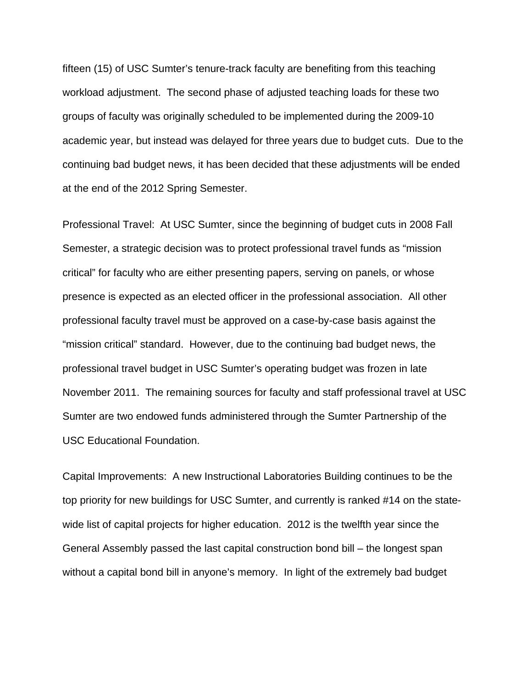fifteen (15) of USC Sumter's tenure-track faculty are benefiting from this teaching workload adjustment. The second phase of adjusted teaching loads for these two groups of faculty was originally scheduled to be implemented during the 2009-10 academic year, but instead was delayed for three years due to budget cuts. Due to the continuing bad budget news, it has been decided that these adjustments will be ended at the end of the 2012 Spring Semester.

Professional Travel: At USC Sumter, since the beginning of budget cuts in 2008 Fall Semester, a strategic decision was to protect professional travel funds as "mission critical" for faculty who are either presenting papers, serving on panels, or whose presence is expected as an elected officer in the professional association. All other professional faculty travel must be approved on a case-by-case basis against the "mission critical" standard. However, due to the continuing bad budget news, the professional travel budget in USC Sumter's operating budget was frozen in late November 2011. The remaining sources for faculty and staff professional travel at USC Sumter are two endowed funds administered through the Sumter Partnership of the USC Educational Foundation.

Capital Improvements: A new Instructional Laboratories Building continues to be the top priority for new buildings for USC Sumter, and currently is ranked #14 on the statewide list of capital projects for higher education. 2012 is the twelfth year since the General Assembly passed the last capital construction bond bill – the longest span without a capital bond bill in anyone's memory. In light of the extremely bad budget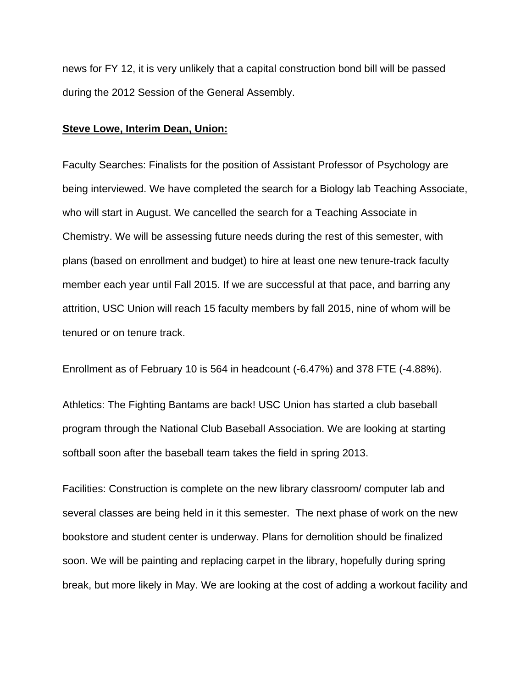news for FY 12, it is very unlikely that a capital construction bond bill will be passed during the 2012 Session of the General Assembly.

#### **Steve Lowe, Interim Dean, Union:**

Faculty Searches: Finalists for the position of Assistant Professor of Psychology are being interviewed. We have completed the search for a Biology lab Teaching Associate, who will start in August. We cancelled the search for a Teaching Associate in Chemistry. We will be assessing future needs during the rest of this semester, with plans (based on enrollment and budget) to hire at least one new tenure-track faculty member each year until Fall 2015. If we are successful at that pace, and barring any attrition, USC Union will reach 15 faculty members by fall 2015, nine of whom will be tenured or on tenure track.

Enrollment as of February 10 is 564 in headcount (-6.47%) and 378 FTE (-4.88%).

Athletics: The Fighting Bantams are back! USC Union has started a club baseball program through the National Club Baseball Association. We are looking at starting softball soon after the baseball team takes the field in spring 2013.

Facilities: Construction is complete on the new library classroom/ computer lab and several classes are being held in it this semester. The next phase of work on the new bookstore and student center is underway. Plans for demolition should be finalized soon. We will be painting and replacing carpet in the library, hopefully during spring break, but more likely in May. We are looking at the cost of adding a workout facility and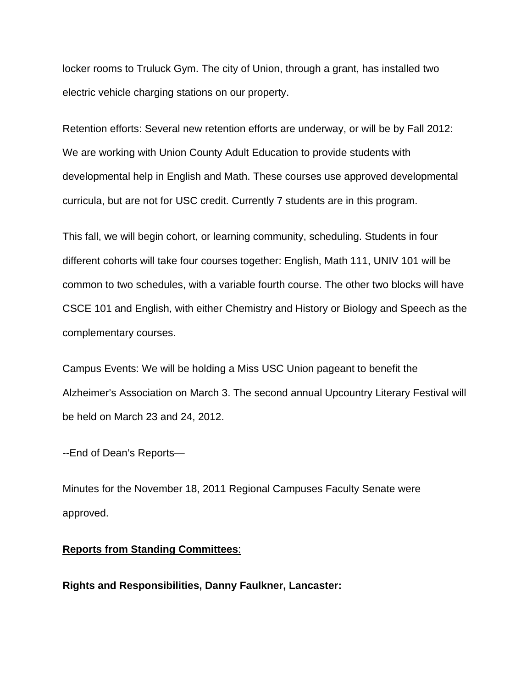locker rooms to Truluck Gym. The city of Union, through a grant, has installed two electric vehicle charging stations on our property.

Retention efforts: Several new retention efforts are underway, or will be by Fall 2012: We are working with Union County Adult Education to provide students with developmental help in English and Math. These courses use approved developmental curricula, but are not for USC credit. Currently 7 students are in this program.

This fall, we will begin cohort, or learning community, scheduling. Students in four different cohorts will take four courses together: English, Math 111, UNIV 101 will be common to two schedules, with a variable fourth course. The other two blocks will have CSCE 101 and English, with either Chemistry and History or Biology and Speech as the complementary courses.

Campus Events: We will be holding a Miss USC Union pageant to benefit the Alzheimer's Association on March 3. The second annual Upcountry Literary Festival will be held on March 23 and 24, 2012.

--End of Dean's Reports—

Minutes for the November 18, 2011 Regional Campuses Faculty Senate were approved.

#### **Reports from Standing Committees**:

**Rights and Responsibilities, Danny Faulkner, Lancaster:**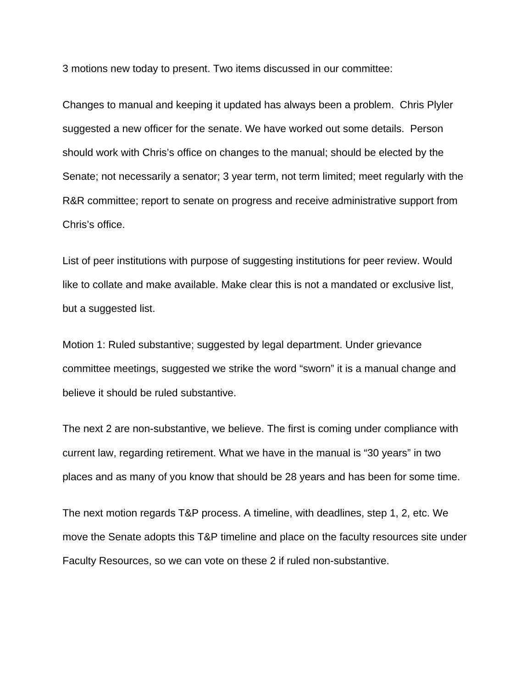3 motions new today to present. Two items discussed in our committee:

Changes to manual and keeping it updated has always been a problem. Chris Plyler suggested a new officer for the senate. We have worked out some details. Person should work with Chris's office on changes to the manual; should be elected by the Senate; not necessarily a senator; 3 year term, not term limited; meet regularly with the R&R committee; report to senate on progress and receive administrative support from Chris's office.

List of peer institutions with purpose of suggesting institutions for peer review. Would like to collate and make available. Make clear this is not a mandated or exclusive list, but a suggested list.

Motion 1: Ruled substantive; suggested by legal department. Under grievance committee meetings, suggested we strike the word "sworn" it is a manual change and believe it should be ruled substantive.

The next 2 are non-substantive, we believe. The first is coming under compliance with current law, regarding retirement. What we have in the manual is "30 years" in two places and as many of you know that should be 28 years and has been for some time.

The next motion regards T&P process. A timeline, with deadlines, step 1, 2, etc. We move the Senate adopts this T&P timeline and place on the faculty resources site under Faculty Resources, so we can vote on these 2 if ruled non-substantive.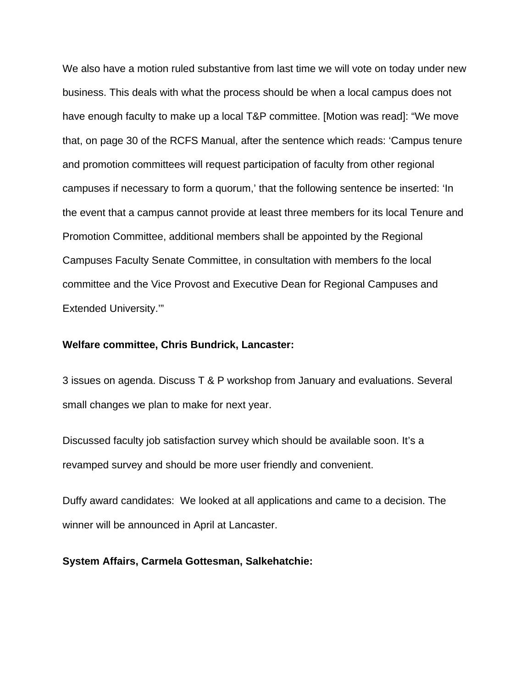We also have a motion ruled substantive from last time we will vote on today under new business. This deals with what the process should be when a local campus does not have enough faculty to make up a local T&P committee. [Motion was read]: "We move that, on page 30 of the RCFS Manual, after the sentence which reads: 'Campus tenure and promotion committees will request participation of faculty from other regional campuses if necessary to form a quorum,' that the following sentence be inserted: 'In the event that a campus cannot provide at least three members for its local Tenure and Promotion Committee, additional members shall be appointed by the Regional Campuses Faculty Senate Committee, in consultation with members fo the local committee and the Vice Provost and Executive Dean for Regional Campuses and Extended University.'"

## **Welfare committee, Chris Bundrick, Lancaster:**

3 issues on agenda. Discuss T & P workshop from January and evaluations. Several small changes we plan to make for next year.

Discussed faculty job satisfaction survey which should be available soon. It's a revamped survey and should be more user friendly and convenient.

Duffy award candidates: We looked at all applications and came to a decision. The winner will be announced in April at Lancaster.

## **System Affairs, Carmela Gottesman, Salkehatchie:**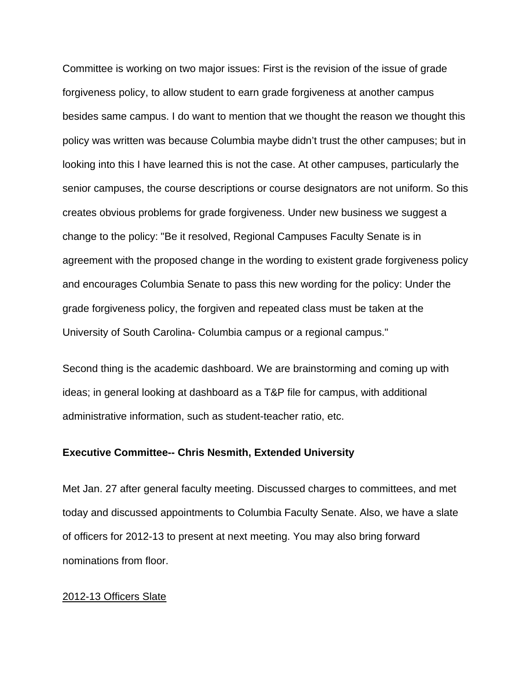Committee is working on two major issues: First is the revision of the issue of grade forgiveness policy, to allow student to earn grade forgiveness at another campus besides same campus. I do want to mention that we thought the reason we thought this policy was written was because Columbia maybe didn't trust the other campuses; but in looking into this I have learned this is not the case. At other campuses, particularly the senior campuses, the course descriptions or course designators are not uniform. So this creates obvious problems for grade forgiveness. Under new business we suggest a change to the policy: "Be it resolved, Regional Campuses Faculty Senate is in agreement with the proposed change in the wording to existent grade forgiveness policy and encourages Columbia Senate to pass this new wording for the policy: Under the grade forgiveness policy, the forgiven and repeated class must be taken at the University of South Carolina- Columbia campus or a regional campus."

Second thing is the academic dashboard. We are brainstorming and coming up with ideas; in general looking at dashboard as a T&P file for campus, with additional administrative information, such as student-teacher ratio, etc.

#### **Executive Committee-- Chris Nesmith, Extended University**

Met Jan. 27 after general faculty meeting. Discussed charges to committees, and met today and discussed appointments to Columbia Faculty Senate. Also, we have a slate of officers for 2012-13 to present at next meeting. You may also bring forward nominations from floor.

### 2012-13 Officers Slate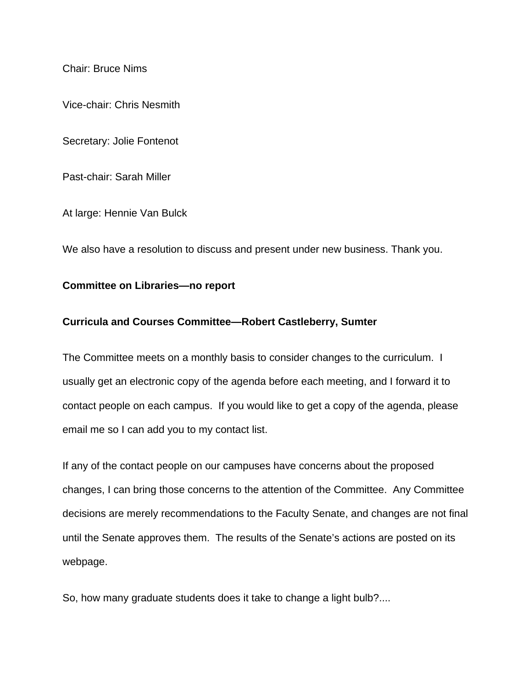Chair: Bruce Nims

Vice-chair: Chris Nesmith

Secretary: Jolie Fontenot

Past-chair: Sarah Miller

At large: Hennie Van Bulck

We also have a resolution to discuss and present under new business. Thank you.

#### **Committee on Libraries—no report**

## **Curricula and Courses Committee—Robert Castleberry, Sumter**

The Committee meets on a monthly basis to consider changes to the curriculum. I usually get an electronic copy of the agenda before each meeting, and I forward it to contact people on each campus. If you would like to get a copy of the agenda, please email me so I can add you to my contact list.

If any of the contact people on our campuses have concerns about the proposed changes, I can bring those concerns to the attention of the Committee. Any Committee decisions are merely recommendations to the Faculty Senate, and changes are not final until the Senate approves them. The results of the Senate's actions are posted on its webpage.

So, how many graduate students does it take to change a light bulb?....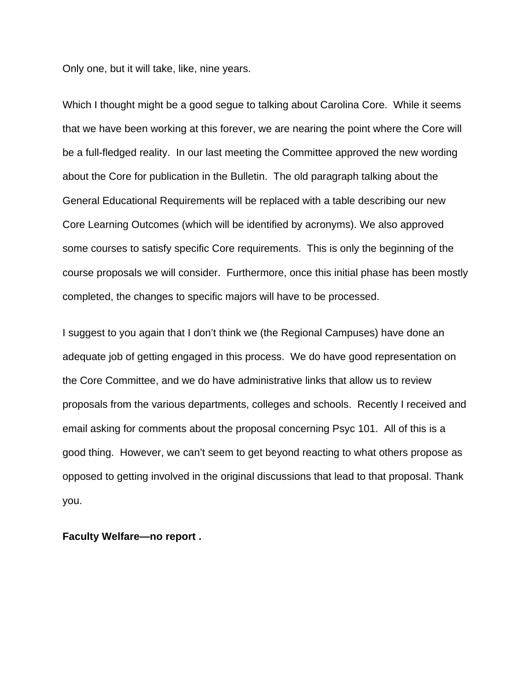Only one, but it will take, like, nine years.

Which I thought might be a good segue to talking about Carolina Core. While it seems that we have been working at this forever, we are nearing the point where the Core will be a full-fledged reality. In our last meeting the Committee approved the new wording about the Core for publication in the Bulletin. The old paragraph talking about the General Educational Requirements will be replaced with a table describing our new Core Learning Outcomes (which will be identified by acronyms). We also approved some courses to satisfy specific Core requirements. This is only the beginning of the course proposals we will consider. Furthermore, once this initial phase has been mostly completed, the changes to specific majors will have to be processed.

I suggest to you again that I don't think we (the Regional Campuses) have done an adequate job of getting engaged in this process. We do have good representation on the Core Committee, and we do have administrative links that allow us to review proposals from the various departments, colleges and schools. Recently I received and email asking for comments about the proposal concerning Psyc 101. All of this is a good thing. However, we can't seem to get beyond reacting to what others propose as opposed to getting involved in the original discussions that lead to that proposal. Thank you.

**Faculty Welfare—no report .**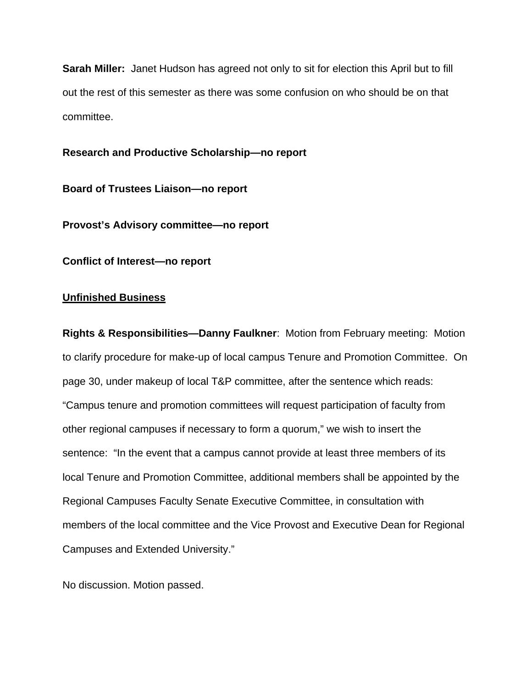**Sarah Miller:** Janet Hudson has agreed not only to sit for election this April but to fill out the rest of this semester as there was some confusion on who should be on that committee.

## **Research and Productive Scholarship—no report**

**Board of Trustees Liaison—no report**

**Provost's Advisory committee—no report** 

**Conflict of Interest—no report** 

### **Unfinished Business**

**Rights & Responsibilities—Danny Faulkner**: Motion from February meeting: Motion to clarify procedure for make-up of local campus Tenure and Promotion Committee. On page 30, under makeup of local T&P committee, after the sentence which reads: "Campus tenure and promotion committees will request participation of faculty from other regional campuses if necessary to form a quorum," we wish to insert the sentence: "In the event that a campus cannot provide at least three members of its local Tenure and Promotion Committee, additional members shall be appointed by the Regional Campuses Faculty Senate Executive Committee, in consultation with members of the local committee and the Vice Provost and Executive Dean for Regional Campuses and Extended University."

No discussion. Motion passed.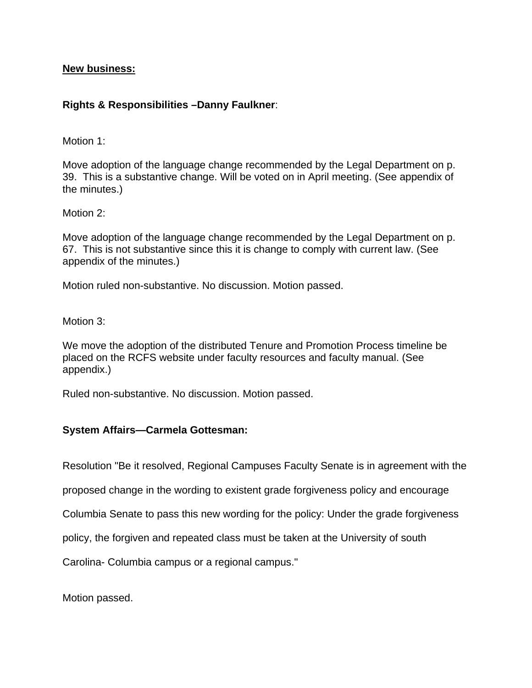## **New business:**

# **Rights & Responsibilities –Danny Faulkner**:

Motion 1:

Move adoption of the language change recommended by the Legal Department on p. 39. This is a substantive change. Will be voted on in April meeting. (See appendix of the minutes.)

Motion 2:

Move adoption of the language change recommended by the Legal Department on p. 67. This is not substantive since this it is change to comply with current law. (See appendix of the minutes.)

Motion ruled non-substantive. No discussion. Motion passed.

Motion 3:

We move the adoption of the distributed Tenure and Promotion Process timeline be placed on the RCFS website under faculty resources and faculty manual. (See appendix.)

Ruled non-substantive. No discussion. Motion passed.

# **System Affairs—Carmela Gottesman:**

Resolution "Be it resolved, Regional Campuses Faculty Senate is in agreement with the

proposed change in the wording to existent grade forgiveness policy and encourage

Columbia Senate to pass this new wording for the policy: Under the grade forgiveness

policy, the forgiven and repeated class must be taken at the University of south

Carolina- Columbia campus or a regional campus."

Motion passed.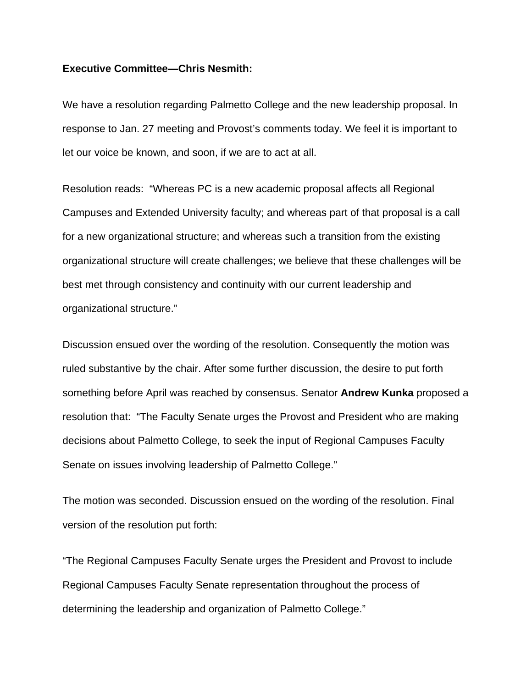## **Executive Committee—Chris Nesmith:**

We have a resolution regarding Palmetto College and the new leadership proposal. In response to Jan. 27 meeting and Provost's comments today. We feel it is important to let our voice be known, and soon, if we are to act at all.

Resolution reads: "Whereas PC is a new academic proposal affects all Regional Campuses and Extended University faculty; and whereas part of that proposal is a call for a new organizational structure; and whereas such a transition from the existing organizational structure will create challenges; we believe that these challenges will be best met through consistency and continuity with our current leadership and organizational structure."

Discussion ensued over the wording of the resolution. Consequently the motion was ruled substantive by the chair. After some further discussion, the desire to put forth something before April was reached by consensus. Senator **Andrew Kunka** proposed a resolution that: "The Faculty Senate urges the Provost and President who are making decisions about Palmetto College, to seek the input of Regional Campuses Faculty Senate on issues involving leadership of Palmetto College."

The motion was seconded. Discussion ensued on the wording of the resolution. Final version of the resolution put forth:

"The Regional Campuses Faculty Senate urges the President and Provost to include Regional Campuses Faculty Senate representation throughout the process of determining the leadership and organization of Palmetto College."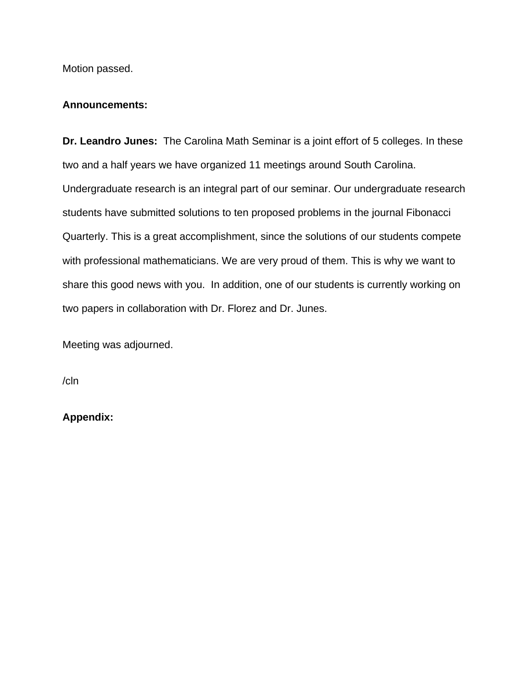Motion passed.

## **Announcements:**

**Dr. Leandro Junes:** The Carolina Math Seminar is a joint effort of 5 colleges. In these two and a half years we have organized 11 meetings around South Carolina. Undergraduate research is an integral part of our seminar. Our undergraduate research students have submitted solutions to ten proposed problems in the journal Fibonacci Quarterly. This is a great accomplishment, since the solutions of our students compete with professional mathematicians. We are very proud of them. This is why we want to share this good news with you. In addition, one of our students is currently working on two papers in collaboration with Dr. Florez and Dr. Junes.

Meeting was adjourned.

/cln

**Appendix:**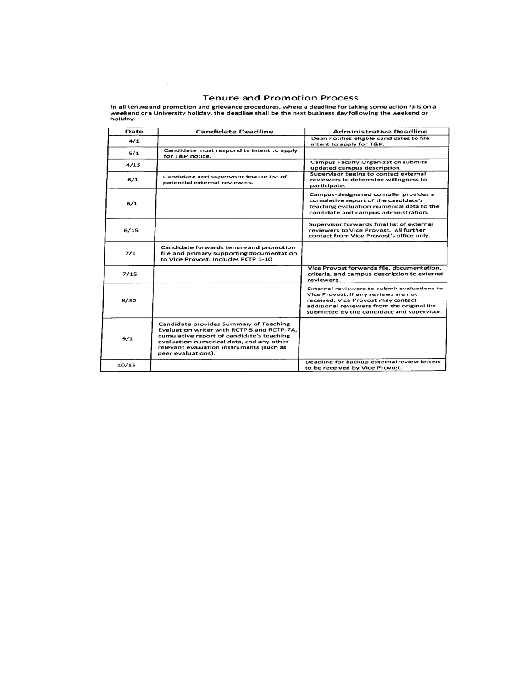#### **Tenure and Promotion Process**

In all tenure and promotion and grievance procedures, where a deadline for taking some action falls on a<br>weekend or a University holiday, the deadline shall be the next business day following the weekend or<br>holiday.

| Date  | <b>Candidate Deadline</b>                                                                                                                                                                                                                      | <b>Administrative Deadline</b>                                                                                                                                                                                         |
|-------|------------------------------------------------------------------------------------------------------------------------------------------------------------------------------------------------------------------------------------------------|------------------------------------------------------------------------------------------------------------------------------------------------------------------------------------------------------------------------|
| 4/1   |                                                                                                                                                                                                                                                | Dean notifies eligble candidates to file<br>intent to apply for T&P.                                                                                                                                                   |
| 5/1   | Candidate must respond to intent to apply<br>for T&P notice.                                                                                                                                                                                   |                                                                                                                                                                                                                        |
| 4/15  |                                                                                                                                                                                                                                                | <b>Campus Faculty Organization submits</b><br>updated campus description.                                                                                                                                              |
| 6/1   | Candidate and supervisor finalize list of<br>potential external reviewers.                                                                                                                                                                     | Supervisor begins to contact external<br>reviewers to determine willingness to<br>participate.                                                                                                                         |
| 6/1   |                                                                                                                                                                                                                                                | Campus-designated compiler provides a<br>cumulative report of the candidate's<br>teaching evaluation numerical data to the<br>candidate and campus administration.                                                     |
| 6/15  |                                                                                                                                                                                                                                                | Supervisor forwards final list of external<br>reviewers to Vice Provost. All further<br>contact from Vice Provost's office only.                                                                                       |
| 7/1   | Candidate forwards tenure and promotion<br>file and primary supporting documentation<br>to Vice Provost. Includes RCTP 1-10.                                                                                                                   |                                                                                                                                                                                                                        |
| 7/15  |                                                                                                                                                                                                                                                | Vice Provost forwards file, documentation,<br>criteria, and campus description to external<br>reviewers.                                                                                                               |
| 8/30  |                                                                                                                                                                                                                                                | External reviewers to submit evaluations to<br>Vice Provost. If any reviews are not<br>received, Vice Provost may contact<br>additional reviewers from the original list<br>submitted by the candidate and supervisor. |
| 9/1   | Candidate provides Summary of Teaching<br>Evaluation writer with RCTP-5 and RCTP-7A,<br>cumulative report of candidate's teaching<br>evaluation numerical data, and any other<br>relevant evauation instruments (such as<br>peer evaluations). |                                                                                                                                                                                                                        |
| 10/15 |                                                                                                                                                                                                                                                | Deadline for backup external review letters<br>to be received by Vice Provost.                                                                                                                                         |